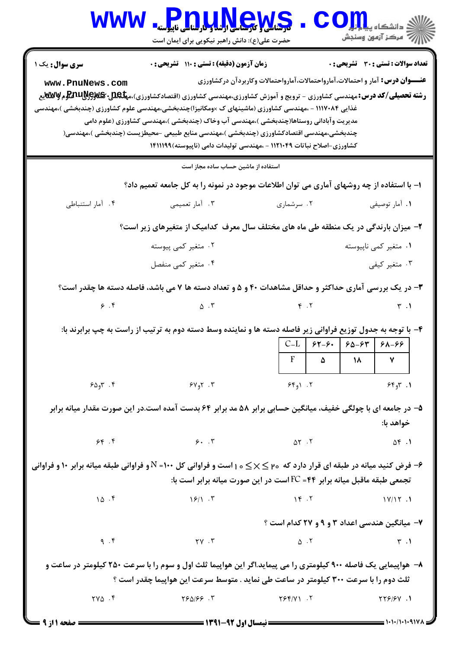| <b>WWW</b>                                                                                                                                      | <b>Pnullews</b><br>حضرت علی(ع): دانش راهبر نیکویی برای ایمان است                                                                                                                                                                                                                                                                                                                                                                                          |                                                                                      | $\mathbf{CO}_{\mathbf{H}}$ دانشڪاه پيا $\mathbf{C}$                   |
|-------------------------------------------------------------------------------------------------------------------------------------------------|-----------------------------------------------------------------------------------------------------------------------------------------------------------------------------------------------------------------------------------------------------------------------------------------------------------------------------------------------------------------------------------------------------------------------------------------------------------|--------------------------------------------------------------------------------------|-----------------------------------------------------------------------|
| <b>سری سوال:</b> یک ۱<br>www.PnuNews.com<br>غذایی ۱۱۱۷۰۸۴ - ،مهندسی کشاورزی (ماشینهای ک ×ومکانیزا)چندبخشی،مهندسی علوم کشاورزی (چندبخشی )،مهندسی | زمان آزمون (دقیقه) : تستی : ۱۱۰ تشریحی : ۰<br><b>رشته تحصیلی/کد درس:</b> مهندسی کشاورزی - ترویج و آموزش کشاورزی،مهندسی کشاورزی (اقتصادکشاورزی)،م <b>یلیوییپیچیلیات استیلو</b> م <b>Ww</b> یع<br>مدیریت وآبادانی روستاها(چندبخشی )،مهندسی آب وخاک (چندبخشی )،مهندسی کشاورزی (علوم دامی<br>چندبخشی،مهندسی اقتصادکشاورزی (چندبخشی )،مهندسی منابع طبیعی –محیطزیست (چندبخشی )،مهندسی(<br>کشاورزی-اصلاح نباتات ۱۱۲۱۰۴۹ - ،مهندسی تولیدات دامی (ناپیوسته)۱۴۱۱۱۹۹ | <b>عنـــوان درس:</b> آمار و احتمالات،آمارواحتمالات،آمارواحتمالات وکاربردآن درکشاورزی | <b>تعداد سوالات : تستی : 30 - تشریحی : 0</b>                          |
|                                                                                                                                                 | استفاده از ماشین حساب ساده مجاز است                                                                                                                                                                                                                                                                                                                                                                                                                       |                                                                                      |                                                                       |
|                                                                                                                                                 | ۱– با استفاده از چه روشهای آماری می توان اطلاعات موجود در نمونه را به کل جامعه تعمیم داد؟                                                                                                                                                                                                                                                                                                                                                                 |                                                                                      |                                                                       |
| ۰۴ آمار استنباطی                                                                                                                                | ۰۳ آمار تعمیمی                                                                                                                                                                                                                                                                                                                                                                                                                                            | ۰۲ سرشماری                                                                           | ٠١. آمار توصيفي                                                       |
|                                                                                                                                                 | ۲- میزان بارندگی در یک منطقه طی ماه های مختلف سال معرف کدامیک از متغیرهای زیر است؟                                                                                                                                                                                                                                                                                                                                                                        |                                                                                      |                                                                       |
|                                                                                                                                                 | ۰۲ متغیر کمی پیوسته                                                                                                                                                                                                                                                                                                                                                                                                                                       |                                                                                      | ۰۱ متغیر کمی ناپیوسته                                                 |
|                                                                                                                                                 | ۰۴ متغیر کمی منفصل                                                                                                                                                                                                                                                                                                                                                                                                                                        |                                                                                      | ۰۳ متغیر کیفی                                                         |
|                                                                                                                                                 | ۳- در یک بررسی آماری حداکثر و حداقل مشاهدات ۴۰ و ۵ و تعداد دسته ها ۷ می باشد، فاصله دسته ها چقدر است؟                                                                                                                                                                                                                                                                                                                                                     |                                                                                      |                                                                       |
| $\mathcal{F}$ . $\mathcal{F}$                                                                                                                   | $\Delta \cdot Y$ $\qquad \qquad \gamma$                                                                                                                                                                                                                                                                                                                                                                                                                   |                                                                                      | $\uparrow$ .1                                                         |
|                                                                                                                                                 | ۴- با توجه به جدول توزیع فراوانی زیر فاصله دسته ها و نماینده وسط دسته دوم به ترتیب از راست به چپ برابرند با:                                                                                                                                                                                                                                                                                                                                              | $\mathbf{F}$<br>$\Delta$                                                             | $  C-L   5Y-5.   5\Delta-5Y   5\Delta-99$<br>$\pmb{\mathsf{v}}$<br>١٨ |
|                                                                                                                                                 | $\mathcal{S} \Delta$ ۹۳ . ۴ هرا $\mathcal{S}$                                                                                                                                                                                                                                                                                                                                                                                                             | 551.7                                                                                | 55, 7                                                                 |
|                                                                                                                                                 | ۵– در جامعه ای با چولگی خفیف، میانگین حسابی برابر ۵۸ مد برابر ۶۴ بدست آمده است.در این صورت مقدار میانه برابر                                                                                                                                                                                                                                                                                                                                              |                                                                                      | خواهد با:                                                             |
|                                                                                                                                                 | 56.7                                                                                                                                                                                                                                                                                                                                                                                                                                                      | $\Delta Y$ . $Y$                                                                     | ۰۱. ۵۴                                                                |
| و فرون کنید میانه در طبقه ای قرار دارد که ۲۰ $\leq\,\times\,$ ۱۰ است و فراوانی کل ۱۰۰= N و فراوانی طبقه میانه برابر ۱۰ و فراوانی (S             |                                                                                                                                                                                                                                                                                                                                                                                                                                                           | تجمعی طبقه ماقبل میانه برابر ۴۴= FCاست در این صورت میانه برابر است با:               |                                                                       |
| 10.5                                                                                                                                            | $\frac{15}{15}$                                                                                                                                                                                                                                                                                                                                                                                                                                           | Y. 7                                                                                 | $1 \vee 1 \vee 1$                                                     |
|                                                                                                                                                 |                                                                                                                                                                                                                                                                                                                                                                                                                                                           |                                                                                      | ۷- میانگین هندسی اعداد ۳ و ۹ و ۲۷ کدام است ؟                          |
| 9.5                                                                                                                                             | $\gamma \gamma$ . $\gamma$                                                                                                                                                                                                                                                                                                                                                                                                                                | $\Delta$ . T                                                                         | $\uparrow$ .1                                                         |
|                                                                                                                                                 | ۸–  هواپیمایی یک فاصله ۹۰۰ کیلومتری را می پیماید.اگر این هواپیما ثلث اول و سوم را با سرعت ۲۵۰ کیلومتر در ساعت و<br>ثلث دوم را با سرعت ٣٠٠ كيلومتر در ساعت طي نمايد . متوسط سرعت اين هواپيما چقدر است ؟                                                                                                                                                                                                                                                    |                                                                                      |                                                                       |
| $\mathsf{YVA} \cdot \mathsf{F}$                                                                                                                 | ۳. ۱۶۵/۶۶                                                                                                                                                                                                                                                                                                                                                                                                                                                 | $Y5Y/Y$ . $Y$                                                                        | 1. 199/97                                                             |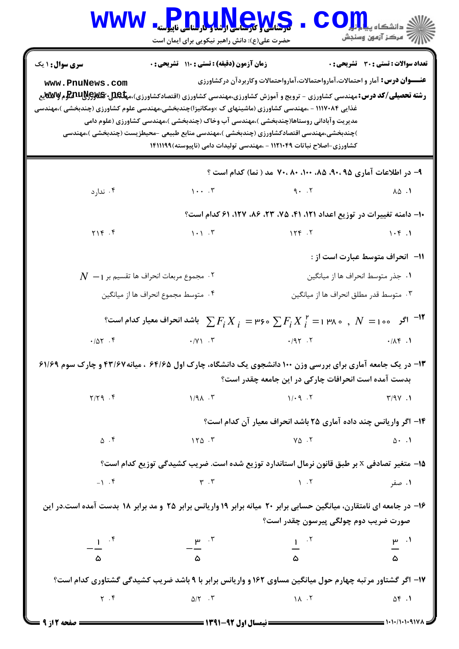| <b>WWW</b>                                | <b>Pnullews</b><br>حضرت علی(ع): دانش راهبر نیکویی برای ایمان است                                                                                                                                                                                                                                                                                                                                                                                                                                                                                        |                                                                                                                                                                                                                                                                                                                                                                                                                           | $\mathbf{COJJL}$ و دانشکاه پی           |
|-------------------------------------------|---------------------------------------------------------------------------------------------------------------------------------------------------------------------------------------------------------------------------------------------------------------------------------------------------------------------------------------------------------------------------------------------------------------------------------------------------------------------------------------------------------------------------------------------------------|---------------------------------------------------------------------------------------------------------------------------------------------------------------------------------------------------------------------------------------------------------------------------------------------------------------------------------------------------------------------------------------------------------------------------|-----------------------------------------|
| <b>سری سوال :</b> ۱ یک<br>www.PnuNews.com | زمان آزمون (دقیقه) : تستی : ۱۱۰ تشریحی : 0<br><b>رشته تحصیلی/کد درس: م</b> هندسی کشاورزی - ترویج و آموزش کشاورزی،مهندسی کشاورزی (اقتصادکشاورزی)،م <b>یلیوییپیپیپیپیچیلینهی</b><br>.<br>غذایی ۱۱۱۷۰۸۴ - ،مهندسی کشاورزی (ماشینهای ک ×ومکانیزا)چندبخشی،مهندسی علوم کشاورزی (چندبخشی )،مهندسی<br>مدیریت وآبادانی روستاها(چندبخشی )،مهندسی آب وخاک (چندبخشی )،مهندسی کشاورزی (علوم دامی<br>)چندبخشی،مهندسی اقتصادکشاورزی (چندبخشی )،مهندسی منابع طبیعی -محیطزیست (چندبخشی )،مهندسی<br>کشاورزی-اصلاح نباتات ۱۱۲۱۰۴۹ - ،مهندسی تولیدات دامی (ناپیوسته)۱۴۱۱۱۹۹ | <b>عنـــوان درس:</b> آمار و احتمالات،آمارواحتمالات،آمارواحتمالات وکاربردآن درکشاورزی                                                                                                                                                                                                                                                                                                                                      | تعداد سوالات : تستى : 30 قشريحى : 0     |
|                                           |                                                                                                                                                                                                                                                                                                                                                                                                                                                                                                                                                         | ۹– در اطلاعات آماری ۹۰،۹۵، ۸۵، ۱۰۰، ۷۰، ۷۰، ۷۰ مد ( نما) کدام است ؟                                                                                                                                                                                                                                                                                                                                                       |                                         |
| ۰۴ ندارد                                  |                                                                                                                                                                                                                                                                                                                                                                                                                                                                                                                                                         |                                                                                                                                                                                                                                                                                                                                                                                                                           |                                         |
|                                           |                                                                                                                                                                                                                                                                                                                                                                                                                                                                                                                                                         | ۱۰– دامنه تغییرات در توزیع اعداد ۱۲۱، ۴۱، ۷۵، ۲۳، ۸۶، ۱۲۷، ۶۱ کدام است؟                                                                                                                                                                                                                                                                                                                                                   |                                         |
| $Y \setminus Y$ .                         |                                                                                                                                                                                                                                                                                                                                                                                                                                                                                                                                                         |                                                                                                                                                                                                                                                                                                                                                                                                                           | 1.5                                     |
|                                           |                                                                                                                                                                                                                                                                                                                                                                                                                                                                                                                                                         |                                                                                                                                                                                                                                                                                                                                                                                                                           | <b>۱۱</b> - انحراف متوسط عبارت است از : |
|                                           | $N_\parallel$ مجموع مربعات انحراف ها تقسیم بر $N_\parallel$                                                                                                                                                                                                                                                                                                                                                                                                                                                                                             |                                                                                                                                                                                                                                                                                                                                                                                                                           | ١. جذر متوسط انحراف ها از ميانگين       |
|                                           | ۰۴ متوسط مجموع انحراف ها از ميانگين                                                                                                                                                                                                                                                                                                                                                                                                                                                                                                                     |                                                                                                                                                                                                                                                                                                                                                                                                                           | ۰۳ متوسط قدر مطلق انحراف ها از ميانگين  |
|                                           | $^{\circ}$ ا ا $^{\circ}$ ا $N=1$ ا $^{\circ}$ $^{\circ}$ ، $N=1$ ا $^{\circ}$ ، $\sum F_i$ $^{\circ}$ ، ا $^{\circ}$ $^{\circ}$ ا $^{\circ}$ ، ا $^{\circ}$ $^{\circ}$ ، ا $^{\circ}$ ، $^{\circ}$ ، $^{\circ}$ ، $^{\circ}$ ، $^{\circ}$ ، $^{\circ}$ ، $^{\circ}$ ، $^{\circ}$ ، $^{\circ}$ ، $^{\circ}$ ، $^{\circ}$ ، $^{\circ}$                                                                                                                                                                                                                   |                                                                                                                                                                                                                                                                                                                                                                                                                           |                                         |
| .707.9                                    |                                                                                                                                                                                                                                                                                                                                                                                                                                                                                                                                                         |                                                                                                                                                                                                                                                                                                                                                                                                                           | $\cdot/\Lambda f$ .                     |
|                                           | ۱۳- در یک جامعه آماری برای بررسی وزن ۱۰۰ دانشجوی یک دانشگاه، چارک اول ۶۴/۶۵ ، میانه۲۳/۶۷ و چارک سوم ۶۱/۶۹                                                                                                                                                                                                                                                                                                                                                                                                                                               | بدست آمده است انحرافات چارکی در این جامعه چقدر است؟                                                                                                                                                                                                                                                                                                                                                                       |                                         |
| $Y/Y$ 9.4                                 | $1/9$ $\lambda$ . $\mu$                                                                                                                                                                                                                                                                                                                                                                                                                                                                                                                                 | $\gamma / 9$ $\gamma$                                                                                                                                                                                                                                                                                                                                                                                                     |                                         |
|                                           |                                                                                                                                                                                                                                                                                                                                                                                                                                                                                                                                                         | ۱۴– اگر واریانس چند داده آماری ۲۵ باشد انحراف معیار آن کدام است؟                                                                                                                                                                                                                                                                                                                                                          |                                         |
| $\Delta$ . F                              |                                                                                                                                                                                                                                                                                                                                                                                                                                                                                                                                                         | $\begin{array}{ccc} \n\sqrt{2} & \sqrt{2} & \sqrt{2} & \sqrt{2} & \sqrt{2} & \sqrt{2} & \sqrt{2} & \sqrt{2} & \sqrt{2} & \sqrt{2} & \sqrt{2} & \sqrt{2} & \sqrt{2} & \sqrt{2} & \sqrt{2} & \sqrt{2} & \sqrt{2} & \sqrt{2} & \sqrt{2} & \sqrt{2} & \sqrt{2} & \sqrt{2} & \sqrt{2} & \sqrt{2} & \sqrt{2} & \sqrt{2} & \sqrt{2} & \sqrt{2} & \sqrt{2} & \sqrt{2} & \sqrt{2} & \sqrt{2} & \sqrt{2} & \sqrt{2} & \sqrt{2} & \$ |                                         |
|                                           | 1۵– متغیر تصادفی x بر طبق قانون نرمال استاندارد توزیع شده است. ضریب کشیدگی توزیع کدام است؟                                                                                                                                                                                                                                                                                                                                                                                                                                                              |                                                                                                                                                                                                                                                                                                                                                                                                                           |                                         |
|                                           | ۰۱ صفر ۱۰۴ میلادی و ۱۰۴ میلادی از ۱۰۴ میلادی و ۱۰۴ میلادی و ۱۰۴ میلادی از این میلادی و این این میلادی و این می                                                                                                                                                                                                                                                                                                                                                                                                                                          |                                                                                                                                                                                                                                                                                                                                                                                                                           |                                         |
|                                           | ۱۶- در جامعه ای نامتقارن، میانگین حسابی برابر ۲۰ میانه برابر ۱۹ واریانس برابر ۲۵ و مد برابر ۱۸ بدست آمده است.در این                                                                                                                                                                                                                                                                                                                                                                                                                                     | صورت ضریب دوم چولگی پیرسون چقدر است؟                                                                                                                                                                                                                                                                                                                                                                                      |                                         |
| $-\frac{1}{\Delta}$ if                    | $-\frac{\mu}{\Delta}$ $-\frac{r}{\Delta}$                                                                                                                                                                                                                                                                                                                                                                                                                                                                                                               | $\frac{1}{\omega}$ $\frac{1}{\omega}$ $\frac{1}{\omega}$ $\frac{1}{\omega}$                                                                                                                                                                                                                                                                                                                                               |                                         |
|                                           |                                                                                                                                                                                                                                                                                                                                                                                                                                                                                                                                                         |                                                                                                                                                                                                                                                                                                                                                                                                                           |                                         |
|                                           | ۱۷- اگر گشتاور مرتبه چهارم حول میانگین مساوی ۱۶۲ و واریانس برابر با ۹ باشد ضریب کشیدگی گشتاوری کدام است؟                                                                                                                                                                                                                                                                                                                                                                                                                                                |                                                                                                                                                                                                                                                                                                                                                                                                                           |                                         |
|                                           | $Y . F$ $\Delta/Y . T$ $Y . T$ $Y . T$                                                                                                                                                                                                                                                                                                                                                                                                                                                                                                                  |                                                                                                                                                                                                                                                                                                                                                                                                                           |                                         |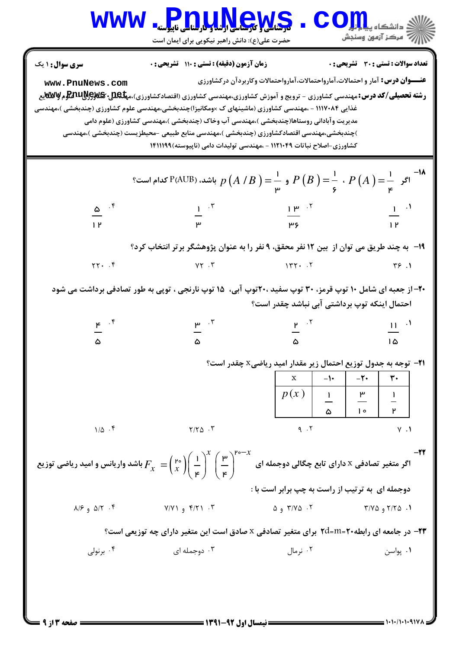|                                                                                                                                                                                                                                                                                                                                                                                                                                                                                                                                                                                                                                                                                                                                                                                                                                                                                                                                                                                                                                     | WWW Pnullews<br>حضرت علی(ع): دانش راهبر نیکویی برای ایمان است                                                                                                                                                                                                                                                                                                                     |                                                                                      | $\mathbf{CO}_{\mathrm{H}_{\mathrm{sl}}}^{\mathrm{L}_{\mathrm{coll}}}$ ي دانشڪاه                     |
|-------------------------------------------------------------------------------------------------------------------------------------------------------------------------------------------------------------------------------------------------------------------------------------------------------------------------------------------------------------------------------------------------------------------------------------------------------------------------------------------------------------------------------------------------------------------------------------------------------------------------------------------------------------------------------------------------------------------------------------------------------------------------------------------------------------------------------------------------------------------------------------------------------------------------------------------------------------------------------------------------------------------------------------|-----------------------------------------------------------------------------------------------------------------------------------------------------------------------------------------------------------------------------------------------------------------------------------------------------------------------------------------------------------------------------------|--------------------------------------------------------------------------------------|-----------------------------------------------------------------------------------------------------|
| <b>سری سوال :</b> ۱ یک<br>www.PnuNews.com                                                                                                                                                                                                                                                                                                                                                                                                                                                                                                                                                                                                                                                                                                                                                                                                                                                                                                                                                                                           | زمان آزمون (دقیقه) : تستی : ۱۱۰ تشریحی : ۰<br><b>رشته تحصیلی/کد درس:</b> مهندسی کشاورزی - ترویج و آموزش کشاورزی،مهندسی کشاورزی (اقتصادکشاورزی)،م <b>یلیوییپیچیلیات پی</b> وچیلیات<br>غذایی ۱۱۱۷۰۸۴ - ،مهندسی کشاورزی (ماشینهای ک ×ومکانیزا)چندبخشی،مهندسی علوم کشاورزی (چندبخشی )،مهندسی<br>مدیریت وآبادانی روستاها(چندبخشی )،مهندسی آب وخاک (چندبخشی )،مهندسی کشاورزی (علوم دامی | <b>عنـــوان درس:</b> آمار و احتمالات،آمارواحتمالات،آمارواحتمالات وکاربردآن درکشاورزی | تعداد سوالات : تستى : 30 - تشريحي : 0                                                               |
| )چندبخشی،مهندسی اقتصادکشاورزی (چندبخشی )،مهندسی منابع طبیعی –محیطزیست (چندبخشی )،مهندسی<br>کشاورزی-اصلاح نباتات ۱۱۲۱۰۴۹ - ،مهندسی تولیدات دامی (ناپیوسته)۱۴۱۱۱۹۹<br>اگر $P(A)=\frac{1}{\varphi}$ ، $P\left(A\right)=\frac{1}{\varphi}$ و $\frac{1}{\varphi}=\frac{1}{\varphi}$ باشد، (P(AUB) کدام است؟<br>$\frac{\omega}{\omega}$<br>$\frac{1}{\mu}$ $\frac{1}{\mu}$ $\frac{1}{\mu}$ $\frac{1}{\mu}$ $\frac{1}{\mu}$<br>$\frac{1}{1 \text{ P}}^{-1}$<br>۱۹- به چند طریق می توان از  بین ۱۲ نفر محقق، ۹ نفر را به عنوان پژوهشگر برتر انتخاب کرد؟<br>$\gamma \gamma$ . F $\gamma \gamma$ . T $\gamma \gamma$ . T $\gamma \gamma$ . T $\gamma \gamma$<br>۲۰- از جعبه ای شامل ۱۰ توپ قرمز، ۳۰ توپ سفید ۲۰، توپ آبی، ۱۵ توپ نارنجی ، توپی به طور تصادفی برداشت می شود<br>احتمال اینکه توپ برداشتی آبی نباشد چقدر است؟<br>$\frac{p}{\omega}$ $\frac{p}{\omega}$ $\frac{p}{\omega}$ $\frac{p}{\omega}$ $\frac{p}{\omega}$ $\frac{11}{\omega}$ $\frac{11}{\omega}$<br><b>۲۱</b> - توجه به جدول توزیع احتمال زیر مقدار امید ریاضیx چقدر است؟ |                                                                                                                                                                                                                                                                                                                                                                                   |                                                                                      |                                                                                                     |
|                                                                                                                                                                                                                                                                                                                                                                                                                                                                                                                                                                                                                                                                                                                                                                                                                                                                                                                                                                                                                                     |                                                                                                                                                                                                                                                                                                                                                                                   |                                                                                      |                                                                                                     |
|                                                                                                                                                                                                                                                                                                                                                                                                                                                                                                                                                                                                                                                                                                                                                                                                                                                                                                                                                                                                                                     |                                                                                                                                                                                                                                                                                                                                                                                   |                                                                                      |                                                                                                     |
|                                                                                                                                                                                                                                                                                                                                                                                                                                                                                                                                                                                                                                                                                                                                                                                                                                                                                                                                                                                                                                     |                                                                                                                                                                                                                                                                                                                                                                                   |                                                                                      |                                                                                                     |
|                                                                                                                                                                                                                                                                                                                                                                                                                                                                                                                                                                                                                                                                                                                                                                                                                                                                                                                                                                                                                                     |                                                                                                                                                                                                                                                                                                                                                                                   |                                                                                      |                                                                                                     |
|                                                                                                                                                                                                                                                                                                                                                                                                                                                                                                                                                                                                                                                                                                                                                                                                                                                                                                                                                                                                                                     |                                                                                                                                                                                                                                                                                                                                                                                   |                                                                                      |                                                                                                     |
|                                                                                                                                                                                                                                                                                                                                                                                                                                                                                                                                                                                                                                                                                                                                                                                                                                                                                                                                                                                                                                     |                                                                                                                                                                                                                                                                                                                                                                                   |                                                                                      |                                                                                                     |
|                                                                                                                                                                                                                                                                                                                                                                                                                                                                                                                                                                                                                                                                                                                                                                                                                                                                                                                                                                                                                                     |                                                                                                                                                                                                                                                                                                                                                                                   |                                                                                      |                                                                                                     |
|                                                                                                                                                                                                                                                                                                                                                                                                                                                                                                                                                                                                                                                                                                                                                                                                                                                                                                                                                                                                                                     |                                                                                                                                                                                                                                                                                                                                                                                   |                                                                                      |                                                                                                     |
| $1/\Delta$ .                                                                                                                                                                                                                                                                                                                                                                                                                                                                                                                                                                                                                                                                                                                                                                                                                                                                                                                                                                                                                        | $Y/Y\Delta$ .                                                                                                                                                                                                                                                                                                                                                                     | $-1$<br>p(x)<br>9.7                                                                  | $-\mathbf{Y}$ +<br>$\frac{1}{\Delta}$ $\frac{\mu}{\rho}$<br>$\overline{\phantom{a}}$<br>$V \cdot V$ |
|                                                                                                                                                                                                                                                                                                                                                                                                                                                                                                                                                                                                                                                                                                                                                                                                                                                                                                                                                                                                                                     | اگر متغیر تصادفی x دارای تابع چگالی دوجمله ای سمت استش $F_{\chi}=\left(\frac{{\sf r}\circ}{\sf r}\right)^{\!\!\times}\left(\frac{{\sf r}\circ}{\sf r}\right)^{\!\!\times}\left(\frac{{\sf r}\circ}{\sf r}\right)^{\!\!\times}$ باشد واریانس و امید ریاضی توزیع                                                                                                                    | دوجمله ای به ترتیب از راست به چپ برابر است با :                                      |                                                                                                     |
| $\Lambda/F$ $\theta$ $\Lambda/T$ $\cdot$ $\zeta$                                                                                                                                                                                                                                                                                                                                                                                                                                                                                                                                                                                                                                                                                                                                                                                                                                                                                                                                                                                    | $Y/Y \rightarrow$ ۴/۲۱ . ۳                                                                                                                                                                                                                                                                                                                                                        | $\Delta$ $\theta$ , $\gamma$ /Y $\Delta$ $\Omega$ . Y                                | ۰۱ ۲/۲۵ و ۳/۷۵                                                                                      |
|                                                                                                                                                                                                                                                                                                                                                                                                                                                                                                                                                                                                                                                                                                                                                                                                                                                                                                                                                                                                                                     |                                                                                                                                                                                                                                                                                                                                                                                   |                                                                                      |                                                                                                     |
|                                                                                                                                                                                                                                                                                                                                                                                                                                                                                                                                                                                                                                                                                                                                                                                                                                                                                                                                                                                                                                     | ۲۳− در جامعه ای رابطه۲۰=M=۱۱ برای متغیر تصادفی x صادق است این متغیر دارای چه توزیعی است؟                                                                                                                                                                                                                                                                                          |                                                                                      |                                                                                                     |
| ۰۴ برنولی                                                                                                                                                                                                                                                                                                                                                                                                                                                                                                                                                                                                                                                                                                                                                                                                                                                                                                                                                                                                                           | ۰۳ دوجمله ای                                                                                                                                                                                                                                                                                                                                                                      | ۰۲ نرمال                                                                             | ۰۱ پواسن                                                                                            |
|                                                                                                                                                                                                                                                                                                                                                                                                                                                                                                                                                                                                                                                                                                                                                                                                                                                                                                                                                                                                                                     |                                                                                                                                                                                                                                                                                                                                                                                   | <b>ـــــــــــــ نیمسال اول 92-1391 ـــ</b>                                          |                                                                                                     |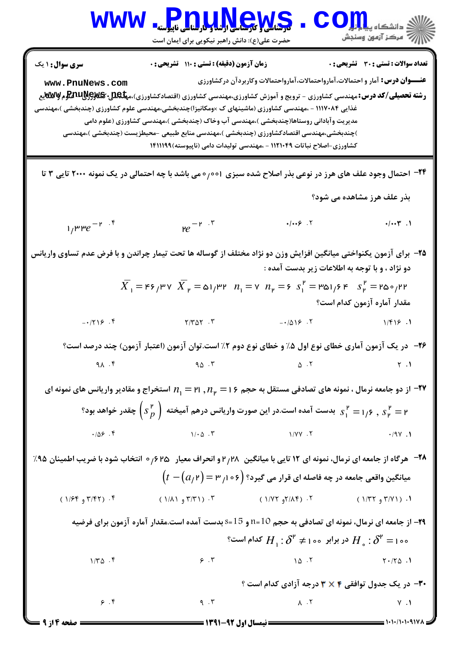**[www.PnuNews.com](http://pnunews.com)** كارشناسي و كارشناسي ارشد و كارشناسي ناپيوسته :( ) - ) ( +: ((+: + \*+: : : تعداد سوالات : تستي تشريحي زمان آزمون (دقيقه) : تستي تشريحي سري سوال %!&' #'! !"#, !"#, ! "# : عنــوان درس **[www.PnuNews.com](http://pnunews.com) [www.PnuNews.net](http://www.PnuNews.net)**5-6 ! 7- / %!&' ,-.",(%!&'3 4) %!&' ,-.",%!&' 0%"# ! 1!2 / %!&' ,-." : رشته تحصيلي/كد درس ,-.",( &B,-C) %!&' 7- ,-.",&B,-C(@A"!\* = .->") %!&' ,-.", / (((:+;< 89 " 7-) %!&' ,-.",( &B,-C) =D! E# ,-.",( &B,-C) ! #! 
," ,-.",( &B,-C) 
H@IJ"/ FG 5-" ,-.",( &B,-C) %!&'3 4 ,-.",&B,-C( (<(((NN(P Q) " ,O2 ,-.", / ((M(+<N 2 KL6/%!&' 2 \* 2 M+++ P ] O PC ,> "0 001 T! \_ / @ W,> KL6 8 % `-- 24 R> " W,&" % `- 8 −2 −2 . . . . ( +/++l +/++\* 1 33 *e* 2 *e* / v! !H2 7, oe ! ,C 2 
J2 POb % `- B" ~ ! %! @e [n" D- "%# - 25 : W,"# 
, % LG P PT2 ! f ~ ! 2 2 1 2 1 2 1 2 46 37 51 32 7 6 351 64 250 22 *X X n n s s* = = = = = = / / / / R
 7,V "%# W"# ,a" . . . . ( A'/%# /" A'/"%# %/%# R
 ,6 ,-C ("%# ) "%# 2.
 M 7! ID ! d \_! ID "# "%# ] - 26 . . . . ( )\* )" " *n n* = = , SZ P Ua H" e32 P f \_" PF"T ! % 1 2 P v! a" ! B 21 16 - 27 2 2 2 1 2 (*s <sup>p</sup>* ) P B"# S v! 6 [ .
 W,"# 
, 1 6 2 *s s* = = , R ,D ,aC / . . . . ( '/"# %/'" %/&& '/)& Nd -G hy > EB 0 625 / F" ^J !2 28 [n" 2 (M P f\_" PF"T % Wb / - 28 6e PC PF"T F4! [n" / / *t a* − = 2 3 106 ( ( ) ) Rb " 4 P-. . . . ( ( %/# \$ /) ( %/\*% \$ /%) ( %/& \$/\*) ( %/ \$ /&%)

**۲۹**– از جامعه ای نرمال، نمونه ای تصادفی به حجم 10=n و 15=s بدست آمده است.مقدار آماره آزمون برای فرضیه  $H_{\circ}: \delta^{\mathfrak{p}} =$  $H_{\pm}$ : در برابر  $H_{\circ}$  خر برابر  $H_{\circ}$  :  $\delta^{\mathfrak{p}}$ گدام است؟  $H_{+}$ :  ${\boldsymbol{\delta}}^{\mathtt{P}}$   $\neq$  1  $\circ$  $(1/T\Delta)^{1/2}$   $(1/T\Delta)^{1/2}$   $(1/T\Delta)^{1/2}$   $(1/T\Delta)^{1/2}$   $(1/T\Delta)^{1/2}$   $(1/T\Delta)^{1/2}$   $(1/T\Delta)^{1/2}$  $(1/\Gamma \Delta \cdot f)$   $(1/\Gamma \Delta \cdot f)$   $(1/\Gamma \Delta \cdot f)$  $P \cdot Y$  . The contract of the contract of the contract of the contract of the contract of the contract of the contract of the contract of the contract of the contract of the contract of the contract of the contract of the **۳۰**- در یک جدول توافقی ۲ × ۳ درجه آزادی کدام است ؟  $\begin{matrix} \gamma & \gamma \end{matrix}$  )  $\begin{matrix} \gamma & \gamma \end{matrix}$  ,  $\begin{matrix} \gamma & \gamma \end{matrix}$  ,  $\begin{matrix} \gamma & \gamma \end{matrix}$  ,  $\begin{matrix} \gamma & \gamma \end{matrix}$  ,  $\begin{matrix} \gamma & \gamma \end{matrix}$  ,  $\begin{matrix} \gamma & \gamma \end{matrix}$  ,  $\begin{matrix} \gamma & \gamma \end{matrix}$  ,  $\begin{matrix} \gamma & \gamma \end{matrix}$  ,  $\begin{matrix} \gamma & \gamma \end{matrix}$  ,  $\begin{matrix} \gamma & \gamma \end{matrix}$  ,  $\gamma$  (  $\gamma$  ),  $\gamma$  (  $\gamma$  ),  $\gamma$  (  $\gamma$  ),  $\gamma$  (  $\gamma$  ),  $\gamma$  (  $\gamma$  ),  $\gamma$  $\mathcal{A} \times \mathcal{A} \times \mathcal{A} \times \mathcal{A} \times \mathcal{A} \times \mathcal{A} \times \mathcal{A} \times \mathcal{A} \times \mathcal{A} \times \mathcal{A} \times \mathcal{A} \times \mathcal{A} \times \mathcal{A} \times \mathcal{A} \times \mathcal{A} \times \mathcal{A} \times \mathcal{A} \times \mathcal{A} \times \mathcal{A} \times \mathcal{A} \times \mathcal{A} \times \mathcal{A} \times \mathcal{A} \times \mathcal{A} \times \mathcal{A} \times \mathcal{A} \times \mathcal{A} \times \mathcal{$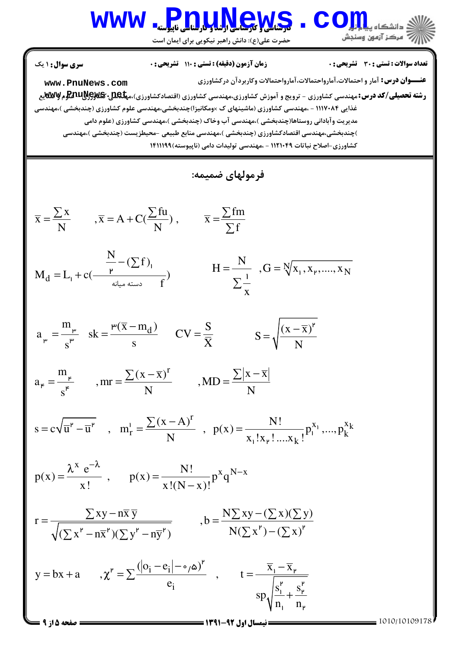حضرت علي(ع): دانش راهبر نيكويي براي ايمان است

عنــوان درس رشته تحصيلي/كد درس تعداد سوالات : تستي تشريحي زمان آزمون (دقيقه) : تستي تشريحي سري سوال %!&' #'! !"#, !"#, ! "# ) ( +: ((+: + \*+: : : : : 5-6 ! 7- / %!&' ,-.",(%!&'3 4) %!&' ,-.",%!&' 0%"# ! 1!2 / %!&' ,-." ,-.",( &B,-C) %!&' 7- ,-.",&B,-C(@A"!\* = .->") %!&' ,-.", / (((:+;< 89 " 7-) %!&' ,-.",( &B,-C) =D! E# ,-.",( &B,-C) ! #! 
," ,-.",( &B,-C) 
H@IJ"/ FG 5-" ,-.",( &B,-C) %!&'3 4 ,-.",&B,-C( (<(((NN(P Q) " ,O2 ,-.", / ((M(+<N 2 KL6/%!&' :Py .O"e x fu fm x ,x A C( ) , x N N f = = + = ∑ ∑ ∑ ∑ + <sup>d</sup> N ( f ) M L c( ) f − = + ∑ <sup>1</sup> 1 2 N N N H ,G x , x ,...., x x = = ∑ 1 2 1 d m (x m ) S a sk CV s s X − = = = <sup>3</sup> 3 3 3 (x x) <sup>S</sup> N − = 2 m r (x x) x x a ,mr ,MD s N N − − = = = <sup>4</sup> <sup>∑</sup> <sup>∑</sup> 4 4 k r x x r k k (x A) N! s c u u , m , p(x) p ,...,p N x !x ! ....x ! − = − = = ∑ <sup>1</sup> 2 2 1 1 1 2 x e N! x N x p(x) , p(x) p q x! x!(N x)! −λ λ <sup>−</sup> = = − xy nx y N xy ( x)( y) r ,b N( x ) ( x) ( x nx )( y ny ) − − = = − − − ∑ ∑ ∑ ∑ ∑ ∑ ∑ ∑ 2 2 2 2 2 2 i i / i ( o e ) x x y bx a , , t e s s sp n n − − − = + χ = = + ∑ 2 2 1 2 2 2 1 2 1 2 0 5 1010/10109178 1391-92 نيمسال اول 5 از 9 صفحه **[www.PnuNews.com](http://pnunews.com) [www.PnuNews.net](http://www.PnuNews.net)**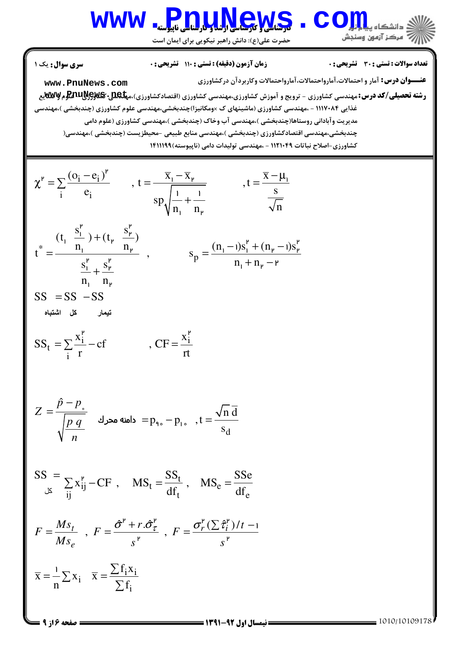حضرت علي(ع): دانش راهبر نيكويي براي ايمان است

**عنـــوان درس:** آمار و احتمالات،آمارواحتمالات،آمارواحتمالات وكاربردآن دركشاورزى **رشته تحصیلی/کد درس: مه**ندسی کشاورزی - ترویج و آموزش کشاورزی،مهندسی کشاورزی (اقتصادکشاورزی)،م**پلکلل: PrwM و Ww**yهل نعداد سوالات : تستي : 30 - تشريحي : . • زمان آزمون (دقيقه) : تستي : 110 - تشريحي : 0 - ، مسري سوال : يك 1 غذایی ۱۱۱۷۰۸۴ - .مهندسی کشاورزی (ماشینهای ک ×ومکانیزا)چندبخشی،مهندسی علوم کشاورزی (چندبخشی )،مهندسی مدیریت وآبادانی روستاها(چندبخشی )،مهندسی آب وخاک (چندبخشی )،مهندسی کشاورزی (علوم دامی چندبخشي،مهندسي اقتصادكشاورزي (چندبخشي )،مهندسي منابع طبيعي -محيطزيست (چندبخشي )،مهندسي( كشاورزي-اصلاح نباتات ١١٢١٠٤٩ - ،مهندسي توليدات دامي (ناپيوسته)١٤١١١٩٩  $i - e_i$  $i$   $e_i$  $(\mathrm{o}_{\mathbf{i}} - \mathrm{e}_{\mathbf{i}})^{\mathbf{r}}$   $\overline{\mathrm{x}}_{1} - \overline{\mathrm{x}}_{1}$   $\overline{\mathrm{x}}_{2}$ , t =  $\frac{A_1 - A_2}{\sqrt{a_1 + a_2}}$ , t  $e_i$ ,  $\begin{array}{ccc} , & \cdot & \cdot & \cdot \\ \hline 1 & 1 & \cdot & \cdot \end{array}$  s sp  $n_{\rm i}$  n<sub>r</sub>  $\sqrt{n}$  $(-e_i)^{\mathfrak{p}}$   $\overline{X}_1 - \overline{X}_{\mathfrak{p}}$   $\overline{X} - \mu$  $\chi^{\prime} = \sum \frac{(q_1 - q_1)}{r}$ ,  $t = \frac{R_1 - R_2}{r}$ ,  $t =$ + ∑  $\overline{1}$  $\overline{X}_1 \cdot \overline{X}_2 = \nabla \cdot (0_1 - e_1)'$   $\overline{X}_1 - \overline{X}_1 \cdot \overline{X}_2$   $\overline{X}_2 - \overline{X}_1 \cdot \overline{X}_2$  $n_{\rm p}$ 1 1 \* p  $(t_1 \frac{s_1^P}{\cdot} ) + (t_{P} \frac{s_{P}^P}{\cdot} )$  $n_1$   $n_r$   $n_r$   $(n_1 - 1)s_1^r + (n_r - 1)s_2^r$  $t^* = \frac{H_1}{t^* + H_2}$ , s  $s_1^P$ ,  $s_p^P$  n<sub>1</sub>+n  $n_1$  n +  $-1$ )s<sup>r</sup> + (n<sub>r</sub> –  $=$   $\frac{n_1}{n_1} + \frac{n_2}{n_2}$ ,  $s_n =$  $+ n<sub>r</sub>$  – +  $\mathbf{r}$   $\mathbf{r}$  $S_{\rm P}$  $(1 - \frac{1}{2}) + (t_p - \frac{1}{2})$  $n_{\rm p}$   $(n_{\rm l} - 1)S_{\rm l} + (n_{\rm p} - 1)S_{\rm p}$  $\overline{y}$  $n_1 + n_\nu$  $\mathbf{n}_{\mathbf{r}}$  $1)S_1^P + (n_u - 1)S_2$  $\cdot$  $SS = SS - SS$ تيمار كل اشتباه شتباه  $\frac{i}{\pi}$  - cf CF -  $\frac{x_i}{x_i}$ t i  $SS_t = \sum \frac{x_1^P}{1 - cf}$ ,  $CF = \frac{x}{f}$ r rt  $\mathbf{r}$ . .  $\hat{p} - p$ *Z p q n* −  $=\frac{P-P_{s}}{\sqrt{2}}$ دامنه محرك d n d  $p_{\text{q}}$ ,  $-p_{\text{q}}$ , t s  $= p_{9} - p_{1}$ ,  $t =$  $SS =$ كل t  $i_j$  - Cr,  $MS_t = \frac{1}{4f}$ ,  $MS_e$ ij  $\mathbf{u}_t$   $\mathbf{u}_e$  $X_{ii}^P - CF$ ,  $MS_t = \frac{SS_t}{TS}$ ,  $MS_e = \frac{SS_e}{TS}$  $df_t$  df  $\sum x_{ii}^P - CF$ ,  $MS_t = \frac{SS_t}{TS}$ ,  $MS_e =$  $\hat{\sigma}^{\text{P}}$  + r. $\hat{\sigma}^{\text{P}}_{\tau}$  =  $\sigma^{\text{P}}_{r}$  (  $\sum \hat{\tau}^{\text{P}}_{i}$  )/  $\frac{t}{r}$ ,  $F = \frac{0 + r \cdot 0}{r}$ ,  $F = \frac{0 - r \cdot (2^r)^2}{r^2}$ *e*  $Ms_t$   $F \quad \hat{\sigma}^{\text{P}} + r \cdot \hat{\sigma}^{\text{P}}_{\tau}$   $F \quad \sigma^{\text{P}}_r (\sum \hat{\tau}^{\text{P}}_i) / t$  $F = \frac{m s_t}{r}$ ,  $F = \frac{6(1+r)\sigma_t}{r}$ ,  $F$  $Ms_e$   $s^{\prime}$   $s$  $\hat{\sigma}^{\mathsf{F}}$  + r. $\hat{\sigma}^{\mathsf{F}}_{\tau}$  =  $\sigma^{\mathsf{F}}_{r}$  ( $\sum \hat{\tau}^{\mathsf{F}}_{i}$ )/t –  $=\frac{m_{0t}}{N_{0t}}$ ,  $F=\frac{6(1+n_{0t})}{N_{0t}}$ ,  $F=$  $2^{\mu}$   $\Delta^{\mu}$   $\Delta^{\mu}$   $\Delta^{\mu}$  $\frac{1}{r}$ ,  $\frac{1}{r}$   $\frac{1}{r}$ 1  $i^{\mathbf{A}}$ i i i  $f_i x$  $\overline{x} = -\sum x_i \overline{x}$  $n^{\frac{2}{n}-1}$   $\sum f$  $=-\sum x_i$   $\overline{x}$  = ∑ ∑ ∑ 1 1010/10109178 1391-92 نيمسال اول 6 از 9 صفحه **[www.PnuNews.com](http://pnunews.com)**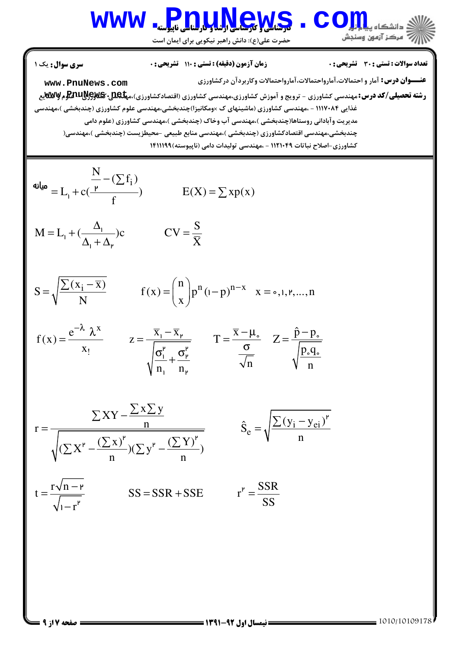حضرت علي(ع): دانش راهبر نيكويي براي ايمان است

$$
\begin{array}{ll}\n\text{www. PnuNews. com} \\
\text{www. PnuNews. com} \\
\text{www. PnuNews. com} \\
\text{www. PnuNews. com} \\
\text{www. PnuNews. com} \\
\text{www. PnuNews. com} \\
\text{www. PnuNews. com} \\
\text{www. PnuNews. com} \\
\text{www. PnuNews. com} \\
\text{www. PnuNews. com} \\
\text{www. PnuNews. com} \\
\text{www. PnuNews. com} \\
\text{www. PnuNews. com} \\
\text{www. PnuNews. com} \\
\text{www. PnuNews. com} \\
\text{www. PnuNews. com} \\
\text{www. PnuNews. com} \\
\text{www. PnuNews. com} \\
\text{www. PnuNews. com} \\
\text{www. PnuNews. com} \\
\text{www. PnuNews. com} \\
\text{www. PnuNews. com} \\
\text{www. PnuNews. com} \\
\text{www. PnuNews. com} \\
\text{www. PnuNews. com} \\
\text{www. PnuNews. com} \\
\text{www. PnuNews. com} \\
\text{www. PnuNews. com} \\
\text{www. PnuNews. com} \\
\text{www. PnuNews. com} \\
\text{www. PnuNews. com} \\
\text{www. PnuNews. com} \\
\text{www. PnuNews. com} \\
\text{www. PnuNews. com} \\
\text{www. PnuNews. com} \\
\text{www. PnuNews. com} \\
\text{www. PnuNews. com} \\
\text{www. PnuNews. com} \\
\text{www. PnuNews. com} \\
\text{www. PnuNews. com} \\
\text{www. PnuNews. com} \\
\text{www. PnuNews. com} \\
\text{www. PnuNews. com} \\
\text{www. PnuNews. com} \\
\text{www. PnuNews. com} \\
\text{www. PnuNews. com} \\
\text{www. PnuNews. com} \\
\text{www. PnuNews. com} \\
\text{www. PnuNews. com} \\
\text{www. PnuNews. com} \\
\text{www. PnuNews. com} \\
\text{www. PnuNews. com} \\
\text{www. PnuNews. com} \\
\text{www. PnuNew
$$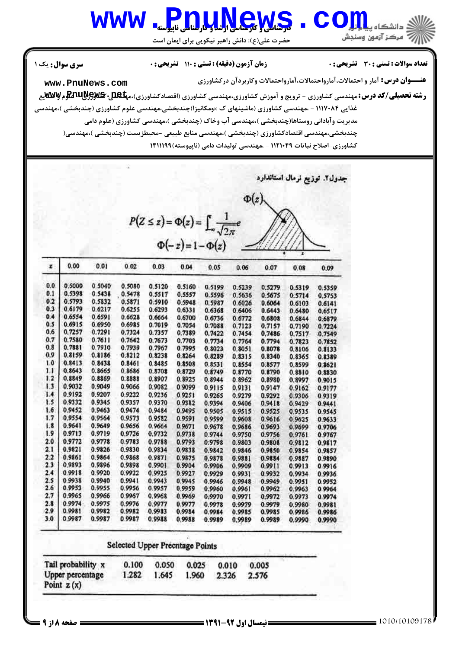حضرت علي(ع): دانش راهبر نيكويي براي ايمان است

### نعداد سوالات : تستي : 30 - تشريحي : . • زمان آزمون (دقيقه) : تستي : 110 - تشريحي : 0 - ، مسري سوال : يك 1

**[www.PnuNews.com](http://pnunews.com)**

**عنـــوان درس:** آمار و احتمالات،آمارواحتمالات،آمارواحتمالات وكاربردآن دركشاورزى

**رشته تحصیلی/کد درس: مه**ندسی کشاورزی - ترویج و آموزش کشاورزی،مهندسی کشاورزی (اقتصادکشاورزی)،م**پلکلل: PrwM و Ww**yهل غذایی ۱۱۱۷۰۸۴ - .مهندسی کشاورزی (ماشینهای ک ×ومکانیزا)چندبخشی،مهندسی علوم کشاورزی (چندبخشی )،مهندسی مدیریت وآبادانی روستاها(چندبخشی )،مهندسی آب وخاک (چندبخشی )،مهندسی کشاورزی (علوم دامی چندبخشی،مهندسی اقتصادکشاورزی (چندبخشی )،مهندسی منابع طبیعی –محیطزیست (چندبخشی )،مهندسی( کشاورزی-اصلاح نباتات ۱۱۲۱۰۴۹ - ،مهندسی تولیدات دامی (ناپیوسته)۱۴۱۱۱۹۹

جدول٢. توزيع نرمال استاندارد

|                                                                                          | $\Phi(z)$ |
|------------------------------------------------------------------------------------------|-----------|
| $P(Z \leq z) = \Phi(z) = \int_{-\infty}^{1} \frac{1}{\sqrt{2\pi}} e^{-\frac{z^2}{2\pi}}$ |           |
| $\Phi(-z) = 1 - \Phi(z)$                                                                 |           |

| z   | 0.00   | 0.01   | 0.02   | 0.03   | 0.04   | 0.05   | 0.06   | 0.07   | 0.08   | 0.09   |
|-----|--------|--------|--------|--------|--------|--------|--------|--------|--------|--------|
| 0,0 | 0.5000 | 0.5040 | 0.5080 | 0.5120 | 0.5160 | 0.5199 | 0.5239 | 0.5279 | 0.5319 | 0.5359 |
| 0.1 | 0.5398 | 0.5438 | 0.5478 | 0.5517 | 0.5557 | 0.5596 | 0.5636 | 0.5675 | 0.5714 | 0.5753 |
| 0.2 | 0.5793 | 0.5832 | 0.5871 | 0.5910 | 0.5948 | 0.5987 | 0.6026 | 0.6064 | 0.6103 | 0.6141 |
| 0.3 | 0.6179 | 0.6217 | 0.6255 | 0.6293 | 0.6331 | 0.6368 | 0.6406 | 0.6443 | 0.6480 | 0.6517 |
| 0.4 | 0.6554 | 0.6591 | 0.6628 | 0.6664 | 0.6700 | 0.6736 | 0.6772 | 0.6808 | 0.6844 | 0.6879 |
| 0.5 | 0.6915 | 0.6950 | 0.6985 | 0.7019 | 0.7054 | 0.7088 | 0.7123 | 0.7157 | 0.7190 | 0.7224 |
| 0,6 | 0.7257 | 0.7291 | 0.7324 | 0.7357 | 0.7389 | 0.7422 | 0.7454 | 0.7486 | 0.7517 | 0.7549 |
| 0,7 | 0.7580 | 0.7611 | 0.7642 | 0.7673 | 0.7703 | 0.7734 | 0.7764 | 0.7794 | 0.7823 | 0.7852 |
| 0.8 | 0.7881 | 0.7910 | 0.7939 | 0.7967 | 0.7995 | 0.8023 | 0.8051 | 0.8078 | 0.8106 | 0.8133 |
| 0.9 | 0.8159 | 0.8186 | 0.8212 | 0.8238 | 0.8264 | 0.8289 | 0.8315 | 0.8340 | 0.8365 | 0.8389 |
| 1.0 | 0.8413 | 0.8438 | 0.8461 | 0.8485 | 0.8508 | 0.8531 | 0.8554 | 0.8577 | 0.8599 | 0.8621 |
| 1.1 | 0.8643 | 0.8665 | 0.8686 | 0.8708 | 0.8729 | 0.8749 | 0.8770 | 0.8790 | 0.8810 | 0.8830 |
| 1.2 | 0.8849 | 0.8869 | 0.8888 | 0.8907 | 0.8925 | 0.8944 | 0.8962 | 0.8980 | 0.8997 | 0.9015 |
| 1.3 | 0.9032 | 0.9049 | 0.9066 | 0.9082 | 0.9099 | 0.9115 | 0.9131 | 0.9147 | 0.9162 | 0.9177 |
| 1.4 | 0.9192 | 0.9207 | 0.9222 | 0.9236 | 0.9251 | 0.9265 | 0.9279 | 0.9292 | 0.9306 | 0.9319 |
| 1.5 | 0.9332 | 0.9345 | 0.9357 | 0.9370 | 0.9382 | 0.9394 | 0.9406 | 0.9418 | 0.9429 | 0.9441 |
| 1.6 | 0.9452 | 0.9463 | 0.9474 | 0.9484 | 0.9495 | 0.9505 | 0.9515 | 0.9525 | 0.9535 | 0.9545 |
| 1.7 | 0.9554 | 0.9564 | 0.9573 | 0.9582 | 0.9591 | 0.9599 | 0.9608 | 0.9616 | 0.9625 | 0.9633 |
| 1.8 | 0.9641 | 0.9649 | 0.9656 | 0.9664 | 0.9671 | 0.9678 | 0.9686 | 0.9693 | 0.9699 | 0.9706 |
| 1.9 | 0.9713 | 0.9719 | 0.9726 | 0.9732 | 0.9738 | 0.9744 | 0.9750 | 0.9756 | 0.9761 | 0.9767 |
| 2.0 | 0.9772 | 0.9778 | 0.9783 | 0.9788 | 0.9793 | 0.9798 | 0.9803 | 0.9808 | 0.9812 | 0.9817 |
| 2.1 | 0.9821 | 0.9826 | 0.9830 | 0.9834 | 0.9838 | 0.9842 | 0.9846 | 0.9850 | 0.9854 | 0.9857 |
| 2.2 | 0.9861 | 0.9864 | 0.9868 | 0.9871 | 0.9875 | 0.9878 | 0.9881 | 0.9884 | 0.9887 | 0.9890 |
| 2.3 | 0.9893 | 0.9896 | 0.9898 | 0.9901 | 0.9904 | 0.9906 | 0.9909 | 0.9911 | 0.9913 | 0.9916 |
| 2.4 | 0.9918 | 0.9920 | 0.9922 | 0.9925 | 0.9927 | 0.9929 | 0.9931 | 0.9932 | 0.9934 | 0.9936 |
| 2.5 | 0.9938 | 0.9940 | 0.9941 | 0.9943 | 0.9945 | 0.9946 | 0.9948 | 0.9949 | 0.9951 | 0.9952 |
| 2.6 | 0.9953 | 0.9955 | 0.9956 | 0.9957 | 0.9959 | 0.9960 | 0.9961 | 0.9962 | 0.9963 | 0.9964 |
| 2.7 | 0.9965 | 0.9966 | 0.9967 | 0.9968 | 0.9969 | 0.9970 | 0.9971 | 0.9972 | 0.9973 | 0.9974 |
| 2.8 | 0.9974 | 0.9975 | 0.9976 | 0.9977 | 0.9977 | 0.9978 | 0.9979 | 0.9979 | 0.9980 | 0.9981 |
| 2.9 | 0.9981 | 0.9982 | 0.9982 | 0.9933 | 0.9984 | 0.9984 | 0.9985 | 0.9985 | 0.9986 | 0.9986 |
| 3.0 | 0.9987 | 0.9987 | 0.9987 | 0.9988 | 0.9988 | 0.9989 | 0.9989 | 0.9989 | 0.9990 | 0.9990 |

### **Selected Upper Precntage Points**

| Tail probability x               | 0.100 | 0.050 | 0.025 | 0.010 | 0.005 |  |
|----------------------------------|-------|-------|-------|-------|-------|--|
| Upper percentage<br>Point $z(x)$ | 1.282 | 1.645 | 1.960 | 2.326 | 2.576 |  |